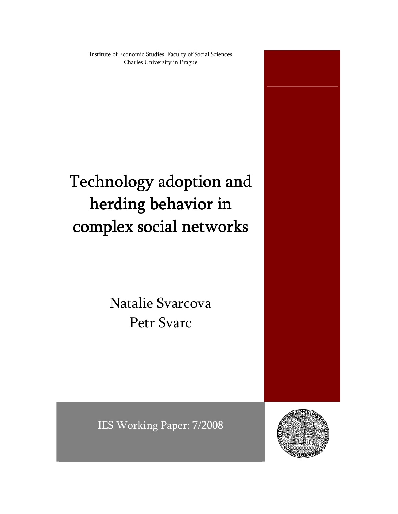Institute of Economic Studies, Faculty of Social Sciences Charles University in Prague

# Technology adoption and herding behavior in complex social networks

Natalie Svarcova Petr Svarc



IES Working Paper: 7/2008

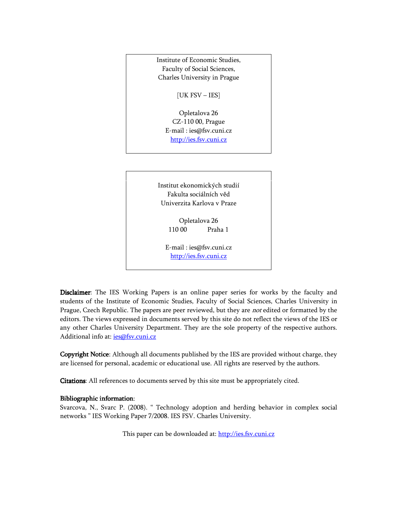Institute of Economic Studies, Faculty of Social Sciences, Charles University in Prague

[UK FSV – IES]

Opletalova 26 CZ-110 00, Prague E-mail : ies@fsv.cuni.cz http://ies.fsv.cuni.cz

Institut ekonomických studií Fakulta sociálních věd Univerzita Karlova v Praze

> Opletalova 26 110 00 Praha 1

E-mail : ies@fsv.cuni.cz http://ies.fsv.cuni.cz

Disclaimer: The IES Working Papers is an online paper series for works by the faculty and students of the Institute of Economic Studies, Faculty of Social Sciences, Charles University in Prague, Czech Republic. The papers are peer reviewed, but they are not edited or formatted by the editors. The views expressed in documents served by this site do not reflect the views of the IES or any other Charles University Department. They are the sole property of the respective authors. Additional info at: ies@fsv.cuni.cz

Copyright Notice: Although all documents published by the IES are provided without charge, they are licensed for personal, academic or educational use. All rights are reserved by the authors.

Citations: All references to documents served by this site must be appropriately cited.

#### Bibliographic information:

Svarcova, N., Svarc P. (2008). " Technology adoption and herding behavior in complex social networks " IES Working Paper 7/2008. IES FSV. Charles University.

This paper can be downloaded at: http://ies.fsv.cuni.cz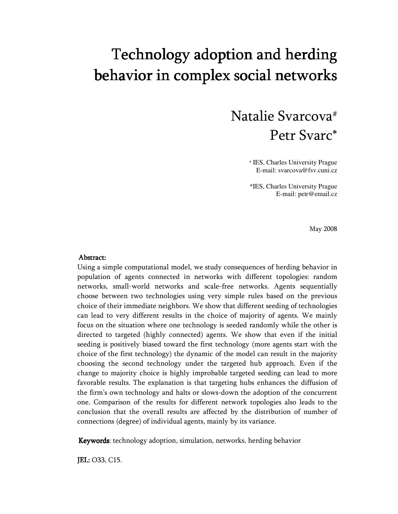## Technology adoption and herding behavior in complex social networks

## Natalie Svarcova# Petr Svarc\*

# IES, Charles University Prague E-mail: svarcova@fsv.cuni.cz

\*IES, Charles University Prague E-mail: petr@email.cz

May 2008

#### Abstract: Abstract:

Using a simple computational model, we study consequences of herding behavior in population of agents connected in networks with different topologies: random networks, small-world networks and scale-free networks. Agents sequentially choose between two technologies using very simple rules based on the previous choice of their immediate neighbors. We show that different seeding of technologies can lead to very different results in the choice of majority of agents. We mainly focus on the situation where one technology is seeded randomly while the other is directed to targeted (highly connected) agents. We show that even if the initial seeding is positively biased toward the first technology (more agents start with the choice of the first technology) the dynamic of the model can result in the majority choosing the second technology under the targeted hub approach. Even if the change to majority choice is highly improbable targeted seeding can lead to more favorable results. The explanation is that targeting hubs enhances the diffusion of the firm's own technology and halts or slows-down the adoption of the concurrent one. Comparison of the results for different network topologies also leads to the conclusion that the overall results are affected by the distribution of number of connections (degree) of individual agents, mainly by its variance.

Keywords: technology adoption, simulation, networks, herding behavior

JEL: O33, C15.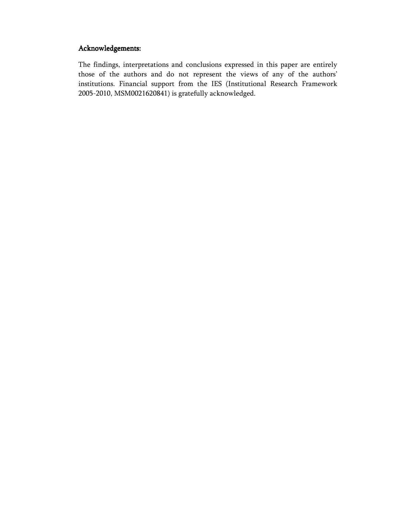## Acknowledgements:

The findings, interpretations and conclusions expressed in this paper are entirely those of the authors and do not represent the views of any of the authors' institutions. Financial support from the IES (Institutional Research Framework 2005-2010, MSM0021620841) is gratefully acknowledged.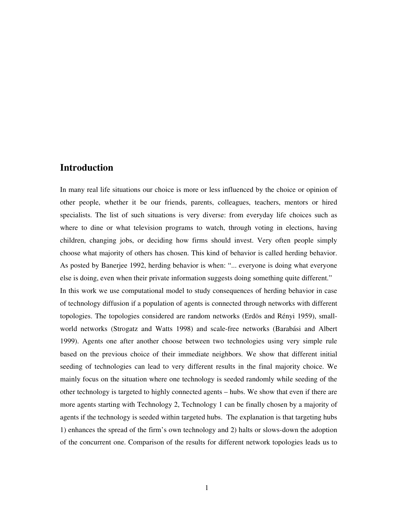## **Introduction**

In many real life situations our choice is more or less influenced by the choice or opinion of other people, whether it be our friends, parents, colleagues, teachers, mentors or hired specialists. The list of such situations is very diverse: from everyday life choices such as where to dine or what television programs to watch, through voting in elections, having children, changing jobs, or deciding how firms should invest. Very often people simply choose what majority of others has chosen. This kind of behavior is called herding behavior. As posted by Banerjee 1992, herding behavior is when: "... everyone is doing what everyone else is doing, even when their private information suggests doing something quite different." In this work we use computational model to study consequences of herding behavior in case of technology diffusion if a population of agents is connected through networks with different topologies. The topologies considered are random networks (Erdös and Rényi 1959), smallworld networks (Strogatz and Watts 1998) and scale-free networks (Barabási and Albert 1999). Agents one after another choose between two technologies using very simple rule based on the previous choice of their immediate neighbors. We show that different initial seeding of technologies can lead to very different results in the final majority choice. We mainly focus on the situation where one technology is seeded randomly while seeding of the other technology is targeted to highly connected agents – hubs. We show that even if there are more agents starting with Technology 2, Technology 1 can be finally chosen by a majority of agents if the technology is seeded within targeted hubs. The explanation is that targeting hubs 1) enhances the spread of the firm's own technology and 2) halts or slows-down the adoption of the concurrent one. Comparison of the results for different network topologies leads us to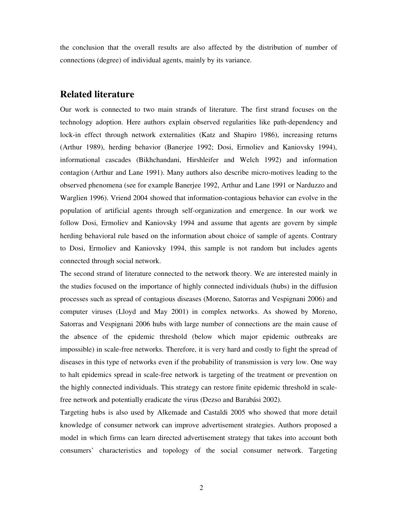the conclusion that the overall results are also affected by the distribution of number of connections (degree) of individual agents, mainly by its variance.

## **Related literature**

Our work is connected to two main strands of literature. The first strand focuses on the technology adoption. Here authors explain observed regularities like path-dependency and lock-in effect through network externalities (Katz and Shapiro 1986), increasing returns (Arthur 1989), herding behavior (Banerjee 1992; Dosi, Ermoliev and Kaniovsky 1994), informational cascades (Bikhchandani, Hirshleifer and Welch 1992) and information contagion (Arthur and Lane 1991). Many authors also describe micro-motives leading to the observed phenomena (see for example Banerjee 1992, Arthur and Lane 1991 or Narduzzo and Warglien 1996). Vriend 2004 showed that information-contagious behavior can evolve in the population of artificial agents through self-organization and emergence. In our work we follow Dosi, Ermoliev and Kaniovsky 1994 and assume that agents are govern by simple herding behavioral rule based on the information about choice of sample of agents. Contrary to Dosi, Ermoliev and Kaniovsky 1994, this sample is not random but includes agents connected through social network.

The second strand of literature connected to the network theory. We are interested mainly in the studies focused on the importance of highly connected individuals (hubs) in the diffusion processes such as spread of contagious diseases (Moreno, Satorras and Vespignani 2006) and computer viruses (Lloyd and May 2001) in complex networks. As showed by Moreno, Satorras and Vespignani 2006 hubs with large number of connections are the main cause of the absence of the epidemic threshold (below which major epidemic outbreaks are impossible) in scale-free networks. Therefore, it is very hard and costly to fight the spread of diseases in this type of networks even if the probability of transmission is very low. One way to halt epidemics spread in scale-free network is targeting of the treatment or prevention on the highly connected individuals. This strategy can restore finite epidemic threshold in scalefree network and potentially eradicate the virus (Dezso and Barabási 2002).

Targeting hubs is also used by Alkemade and Castaldi 2005 who showed that more detail knowledge of consumer network can improve advertisement strategies. Authors proposed a model in which firms can learn directed advertisement strategy that takes into account both consumers' characteristics and topology of the social consumer network. Targeting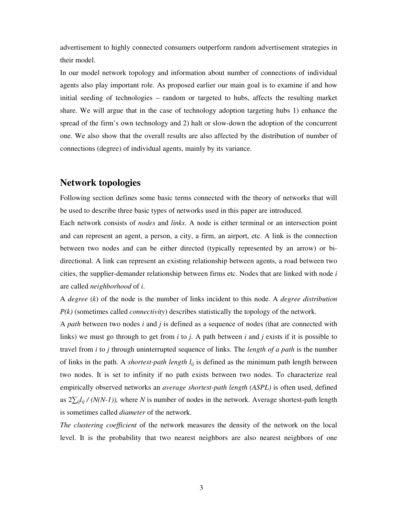advertisement to highly connected consumers outperform random advertisement strategies in their model.

In our model network topology and information about number of connections of individual agents also play important role. As proposed earlier our main goal is to examine if and how initial seeding of technologies – random or targeted to hubs, affects the resulting market share. We will argue that in the case of technology adoption targeting hubs 1) enhance the spread of the firm's own technology and 2) halt or slow-down the adoption of the concurrent one. We also show that the overall results are also affected by the distribution of number of connections (degree) of individual agents, mainly by its variance.

## **Network topologies**

Following section defines some basic terms connected with the theory of networks that will be used to describe three basic types of networks used in this paper are introduced.

Each network consists of *nodes* and *links*. A node is either terminal or an intersection point and can represent an agent, a person, a city, a firm, an airport, etc. A link is the connection between two nodes and can be either directed (typically represented by an arrow) or bidirectional. A link can represent an existing relationship between agents, a road between two cities, the supplier-demander relationship between firms etc. Nodes that are linked with node *i* are called *neighborhood* of *i*.

A *degree* (*k*) of the node is the number of links incident to this node. A *degree distribution P(k)* (sometimes called *connectivity*) describes statistically the topology of the network.

A *path* between two nodes *i* and *j* is defined as a sequence of nodes (that are connected with links) we must go through to get from *i* to *j*. A path between *i* and *j* exists if it is possible to travel from *i* to *j* through uninterrupted sequence of links. The *length of a path* is the number of links in the path. A *shortest-path length lij* is defined as the minimum path length between two nodes. It is set to infinity if no path exists between two nodes. To characterize real empirically observed networks an *average shortest-path length (ASPL)* is often used, defined as 2∑*ijlij / (N(N-1)),* where *N* is number of nodes in the network. Average shortest-path length is sometimes called *diameter* of the network.

*The clustering coefficient* of the network measures the density of the network on the local level. It is the probability that two nearest neighbors are also nearest neighbors of one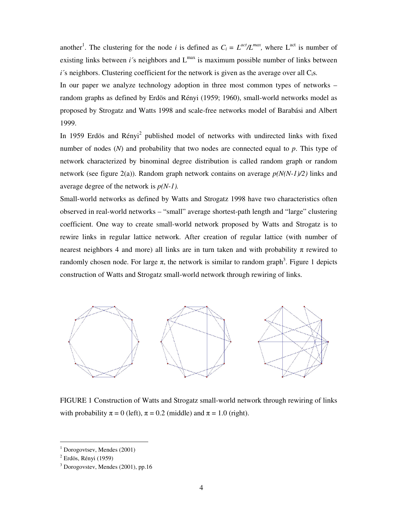another<sup>1</sup>. The clustering for the node *i* is defined as  $C_i = L^{act}/L^{max}$ , where  $L^{act}$  is number of existing links between  $i$ 's neighbors and  $L^{max}$  is maximum possible number of links between  $i$ 's neighbors. Clustering coefficient for the network is given as the average over all  $C_i$ s.

In our paper we analyze technology adoption in three most common types of networks – random graphs as defined by Erdös and Rényi (1959; 1960), small-world networks model as proposed by Strogatz and Watts 1998 and scale-free networks model of Barabási and Albert 1999.

In 1959 Erdös and Rényi<sup>2</sup> published model of networks with undirected links with fixed number of nodes (*N*) and probability that two nodes are connected equal to *p*. This type of network characterized by binominal degree distribution is called random graph or random network (see figure 2(a)). Random graph network contains on average *p(N(N-1)/2)* links and average degree of the network is *p(N-1).*

Small-world networks as defined by Watts and Strogatz 1998 have two characteristics often observed in real-world networks – "small" average shortest-path length and "large" clustering coefficient. One way to create small-world network proposed by Watts and Strogatz is to rewire links in regular lattice network. After creation of regular lattice (with number of nearest neighbors 4 and more) all links are in turn taken and with probability  $\pi$  rewired to randomly chosen node. For large  $\pi$ , the network is similar to random graph<sup>3</sup>. Figure 1 depicts construction of Watts and Strogatz small-world network through rewiring of links.



FIGURE 1 Construction of Watts and Strogatz small-world network through rewiring of links with probability  $\pi = 0$  (left),  $\pi = 0.2$  (middle) and  $\pi = 1.0$  (right).

<u>.</u>

<sup>1</sup> Dorogovtsev, Mendes (2001)

 $<sup>2</sup>$  Erdös, Rényi (1959)</sup>

<sup>3</sup> Dorogovstev, Mendes (2001), pp.16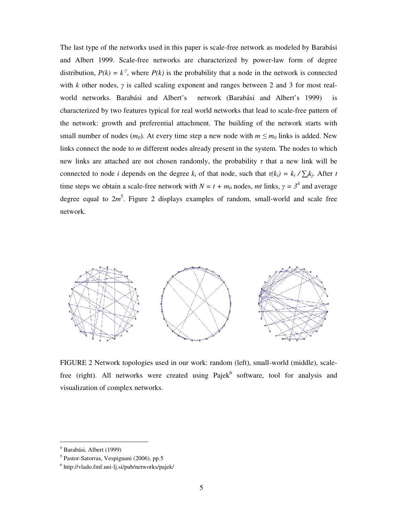The last type of the networks used in this paper is scale-free network as modeled by Barabási and Albert 1999. Scale-free networks are characterized by power-law form of degree distribution,  $P(k) = k^{\gamma}$ , where  $P(k)$  is the probability that a node in the network is connected with *k* other nodes, γ is called scaling exponent and ranges between 2 and 3 for most realworld networks. Barabási and Albert's network (Barabási and Albert's 1999) is characterized by two features typical for real world networks that lead to scale-free pattern of the network: growth and preferential attachment. The building of the network starts with small number of nodes  $(m_0)$ . At every time step a new node with  $m \le m_0$  links is added. New links connect the node to *m* different nodes already present in the system. The nodes to which new links are attached are not chosen randomly, the probability  $\tau$  that a new link will be connected to node *i* depends on the degree  $k_i$  of that node, such that  $\tau(k_i) = k_i / \sum_j k_j$ . After *t* time steps we obtain a scale-free network with  $N = t + m_0$  nodes, mt links,  $\gamma = 3^4$  and average degree equal to  $2m^5$ . Figure 2 displays examples of random, small-world and scale free network.



FIGURE 2 Network topologies used in our work: random (left), small-world (middle), scalefree (right). All networks were created using  $Pajek<sup>6</sup>$  software, tool for analysis and visualization of complex networks.

<u>.</u>

<sup>4</sup> Barabási, Albert (1999)

<sup>5</sup> Pastor-Satorras, Vespignani (2006), pp.5

<sup>6</sup> http://vlado.fmf.uni-lj.si/pub/networks/pajek/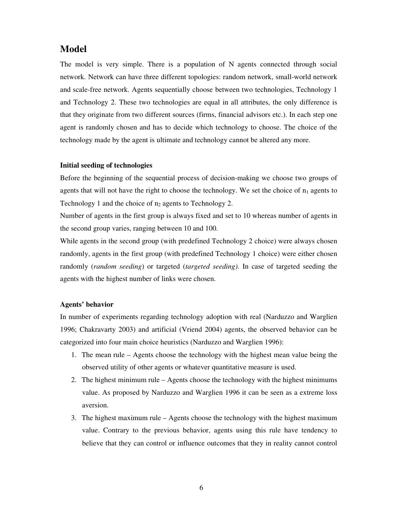## **Model**

The model is very simple. There is a population of N agents connected through social network. Network can have three different topologies: random network, small-world network and scale-free network. Agents sequentially choose between two technologies, Technology 1 and Technology 2. These two technologies are equal in all attributes, the only difference is that they originate from two different sources (firms, financial advisors etc.). In each step one agent is randomly chosen and has to decide which technology to choose. The choice of the technology made by the agent is ultimate and technology cannot be altered any more.

#### **Initial seeding of technologies**

Before the beginning of the sequential process of decision-making we choose two groups of agents that will not have the right to choose the technology. We set the choice of  $n_1$  agents to Technology 1 and the choice of  $n_2$  agents to Technology 2.

Number of agents in the first group is always fixed and set to 10 whereas number of agents in the second group varies, ranging between 10 and 100.

While agents in the second group (with predefined Technology 2 choice) were always chosen randomly, agents in the first group (with predefined Technology 1 choice) were either chosen randomly (*random seeding*) or targeted (*targeted seeding)*. In case of targeted seeding the agents with the highest number of links were chosen.

#### **Agents' behavior**

In number of experiments regarding technology adoption with real (Narduzzo and Warglien 1996; Chakravarty 2003) and artificial (Vriend 2004) agents, the observed behavior can be categorized into four main choice heuristics (Narduzzo and Warglien 1996):

- 1. The mean rule Agents choose the technology with the highest mean value being the observed utility of other agents or whatever quantitative measure is used.
- 2. The highest minimum rule Agents choose the technology with the highest minimums value. As proposed by Narduzzo and Warglien 1996 it can be seen as a extreme loss aversion.
- 3. The highest maximum rule Agents choose the technology with the highest maximum value. Contrary to the previous behavior, agents using this rule have tendency to believe that they can control or influence outcomes that they in reality cannot control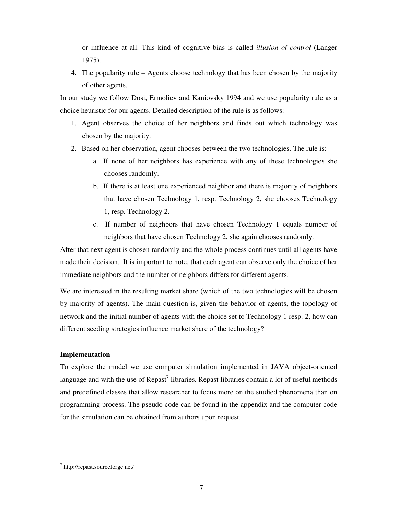or influence at all. This kind of cognitive bias is called *illusion of control* (Langer 1975).

4. The popularity rule – Agents choose technology that has been chosen by the majority of other agents.

In our study we follow Dosi, Ermoliev and Kaniovsky 1994 and we use popularity rule as a choice heuristic for our agents. Detailed description of the rule is as follows:

- 1. Agent observes the choice of her neighbors and finds out which technology was chosen by the majority.
- 2. Based on her observation, agent chooses between the two technologies. The rule is:
	- a. If none of her neighbors has experience with any of these technologies she chooses randomly.
	- b. If there is at least one experienced neighbor and there is majority of neighbors that have chosen Technology 1, resp. Technology 2, she chooses Technology 1, resp. Technology 2.
	- c. If number of neighbors that have chosen Technology 1 equals number of neighbors that have chosen Technology 2, she again chooses randomly.

After that next agent is chosen randomly and the whole process continues until all agents have made their decision. It is important to note, that each agent can observe only the choice of her immediate neighbors and the number of neighbors differs for different agents.

We are interested in the resulting market share (which of the two technologies will be chosen by majority of agents). The main question is, given the behavior of agents, the topology of network and the initial number of agents with the choice set to Technology 1 resp. 2, how can different seeding strategies influence market share of the technology?

#### **Implementation**

To explore the model we use computer simulation implemented in JAVA object-oriented language and with the use of  $\text{Repast}^7$  libraries. Repast libraries contain a lot of useful methods and predefined classes that allow researcher to focus more on the studied phenomena than on programming process. The pseudo code can be found in the appendix and the computer code for the simulation can be obtained from authors upon request.

<u>.</u>

<sup>7</sup> http://repast.sourceforge.net/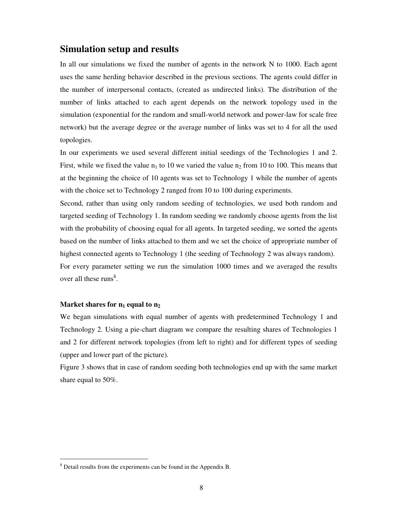## **Simulation setup and results**

In all our simulations we fixed the number of agents in the network N to 1000. Each agent uses the same herding behavior described in the previous sections. The agents could differ in the number of interpersonal contacts, (created as undirected links). The distribution of the number of links attached to each agent depends on the network topology used in the simulation (exponential for the random and small-world network and power-law for scale free network) but the average degree or the average number of links was set to 4 for all the used topologies.

In our experiments we used several different initial seedings of the Technologies 1 and 2. First, while we fixed the value  $n_1$  to 10 we varied the value  $n_2$  from 10 to 100. This means that at the beginning the choice of 10 agents was set to Technology 1 while the number of agents with the choice set to Technology 2 ranged from 10 to 100 during experiments.

Second, rather than using only random seeding of technologies, we used both random and targeted seeding of Technology 1. In random seeding we randomly choose agents from the list with the probability of choosing equal for all agents. In targeted seeding, we sorted the agents based on the number of links attached to them and we set the choice of appropriate number of highest connected agents to Technology 1 (the seeding of Technology 2 was always random). For every parameter setting we run the simulation 1000 times and we averaged the results over all these runs<sup>8</sup>.

#### **Market shares for n1 equal to n<sup>2</sup>**

<u>.</u>

We began simulations with equal number of agents with predetermined Technology 1 and Technology 2. Using a pie-chart diagram we compare the resulting shares of Technologies 1 and 2 for different network topologies (from left to right) and for different types of seeding (upper and lower part of the picture).

Figure 3 shows that in case of random seeding both technologies end up with the same market share equal to 50%.

<sup>&</sup>lt;sup>8</sup> Detail results from the experiments can be found in the Appendix B.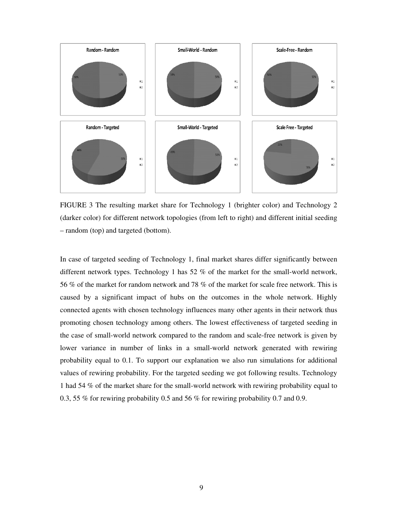

FIGURE 3 The resulting market share for Technology 1 (brighter color) and Technology 2 (darker color) for different network topologies (from left to right) and different initial seeding – random (top) and targeted (bottom).

In case of targeted seeding of Technology 1, final market shares differ significantly between different network types. Technology 1 has 52 % of the market for the small-world network, 56 % of the market for random network and 78 % of the market for scale free network. This is caused by a significant impact of hubs on the outcomes in the whole network. Highly connected agents with chosen technology influences many other agents in their network thus promoting chosen technology among others. The lowest effectiveness of targeted seeding in the case of small-world network compared to the random and scale-free network is given by lower variance in number of links in a small-world network generated with rewiring probability equal to 0.1. To support our explanation we also run simulations for additional values of rewiring probability. For the targeted seeding we got following results. Technology 1 had 54 % of the market share for the small-world network with rewiring probability equal to 0.3, 55 % for rewiring probability 0.5 and 56 % for rewiring probability 0.7 and 0.9.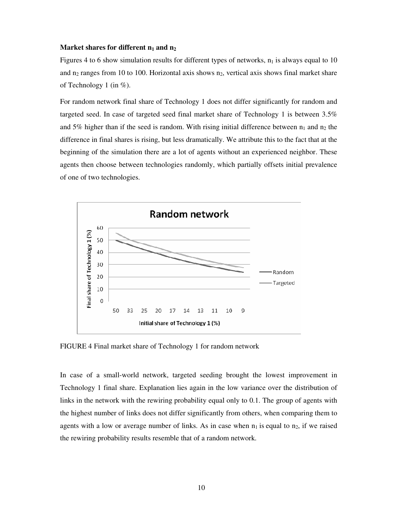#### **Market shares for different n1 and n<sup>2</sup>**

Figures 4 to 6 show simulation results for different types of networks,  $n_1$  is always equal to 10 and  $n_2$  ranges from 10 to 100. Horizontal axis shows  $n_2$ , vertical axis shows final market share of Technology 1 (in %).

For random network final share of Technology 1 does not differ significantly for random and targeted seed. In case of targeted seed final market share of Technology 1 is between 3.5% and 5% higher than if the seed is random. With rising initial difference between  $n_1$  and  $n_2$  the difference in final shares is rising, but less dramatically. We attribute this to the fact that at the beginning of the simulation there are a lot of agents without an experienced neighbor. These agents then choose between technologies randomly, which partially offsets initial prevalence of one of two technologies.



FIGURE 4 Final market share of Technology 1 for random network

In case of a small-world network, targeted seeding brought the lowest improvement in Technology 1 final share. Explanation lies again in the low variance over the distribution of links in the network with the rewiring probability equal only to 0.1. The group of agents with the highest number of links does not differ significantly from others, when comparing them to agents with a low or average number of links. As in case when  $n_1$  is equal to  $n_2$ , if we raised the rewiring probability results resemble that of a random network.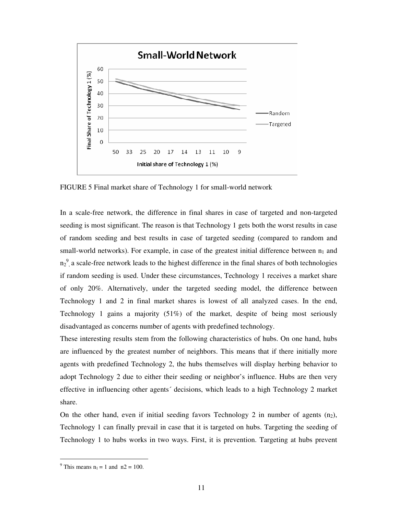

FIGURE 5 Final market share of Technology 1 for small-world network

In a scale-free network, the difference in final shares in case of targeted and non-targeted seeding is most significant. The reason is that Technology 1 gets both the worst results in case of random seeding and best results in case of targeted seeding (compared to random and small-world networks). For example, in case of the greatest initial difference between  $n_1$  and  $n_2^9$ , a scale-free network leads to the highest difference in the final shares of both technologies if random seeding is used. Under these circumstances, Technology 1 receives a market share of only 20%. Alternatively, under the targeted seeding model, the difference between Technology 1 and 2 in final market shares is lowest of all analyzed cases. In the end, Technology 1 gains a majority (51%) of the market, despite of being most seriously disadvantaged as concerns number of agents with predefined technology.

These interesting results stem from the following characteristics of hubs. On one hand, hubs are influenced by the greatest number of neighbors. This means that if there initially more agents with predefined Technology 2, the hubs themselves will display herbing behavior to adopt Technology 2 due to either their seeding or neighbor's influence. Hubs are then very effective in influencing other agents´ decisions, which leads to a high Technology 2 market share.

On the other hand, even if initial seeding favors Technology 2 in number of agents  $(n_2)$ , Technology 1 can finally prevail in case that it is targeted on hubs. Targeting the seeding of Technology 1 to hubs works in two ways. First, it is prevention. Targeting at hubs prevent

<u>.</u>

<sup>&</sup>lt;sup>9</sup> This means  $n_1 = 1$  and  $n_2 = 100$ .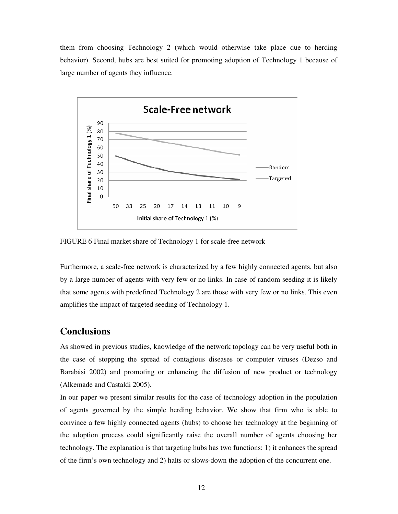them from choosing Technology 2 (which would otherwise take place due to herding behavior). Second, hubs are best suited for promoting adoption of Technology 1 because of large number of agents they influence.



FIGURE 6 Final market share of Technology 1 for scale-free network

Furthermore, a scale-free network is characterized by a few highly connected agents, but also by a large number of agents with very few or no links. In case of random seeding it is likely that some agents with predefined Technology 2 are those with very few or no links. This even amplifies the impact of targeted seeding of Technology 1.

## **Conclusions**

As showed in previous studies, knowledge of the network topology can be very useful both in the case of stopping the spread of contagious diseases or computer viruses (Dezso and Barabási 2002) and promoting or enhancing the diffusion of new product or technology (Alkemade and Castaldi 2005).

In our paper we present similar results for the case of technology adoption in the population of agents governed by the simple herding behavior. We show that firm who is able to convince a few highly connected agents (hubs) to choose her technology at the beginning of the adoption process could significantly raise the overall number of agents choosing her technology. The explanation is that targeting hubs has two functions: 1) it enhances the spread of the firm's own technology and 2) halts or slows-down the adoption of the concurrent one.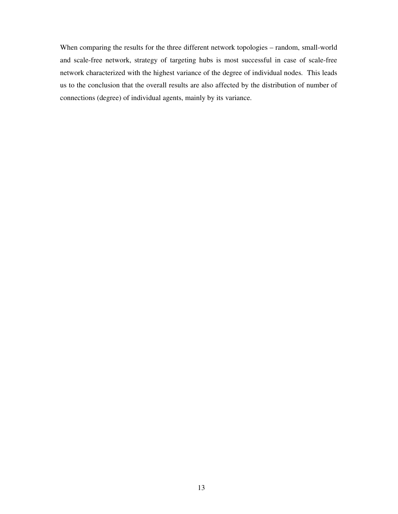When comparing the results for the three different network topologies – random, small-world and scale-free network, strategy of targeting hubs is most successful in case of scale-free network characterized with the highest variance of the degree of individual nodes. This leads us to the conclusion that the overall results are also affected by the distribution of number of connections (degree) of individual agents, mainly by its variance.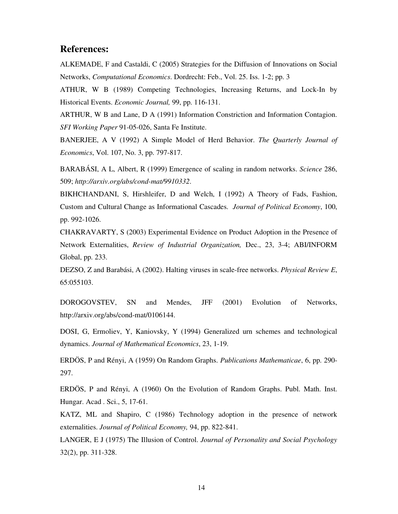## **References:**

ALKEMADE, F and Castaldi, C (2005) Strategies for the Diffusion of Innovations on Social Networks, *Computational Economics*. Dordrecht: Feb., Vol. 25. Iss. 1-2; pp. 3

ATHUR, W B (1989) Competing Technologies, Increasing Returns, and Lock-In by Historical Events. *Economic Journal,* 99, pp. 116-131.

ARTHUR, W B and Lane, D A (1991) Information Constriction and Information Contagion. *SFI Working Paper* 91-05-026, Santa Fe Institute.

BANERJEE, A V (1992) A Simple Model of Herd Behavior. *The Quarterly Journal of Economics*, Vol. 107, No. 3, pp. 797-817.

BARABÁSI, A L, Albert, R (1999) Emergence of scaling in random networks. *Science* 286, 509; *http://arxiv.org/abs/cond-mat/9910332*.

BIKHCHANDANI, S, Hirshleifer, D and Welch, I (1992) A Theory of Fads, Fashion, Custom and Cultural Change as Informational Cascades. *Journal of Political Economy*, 100, pp. 992-1026.

CHAKRAVARTY, S (2003) Experimental Evidence on Product Adoption in the Presence of Network Externalities, *Review of Industrial Organization,* Dec., 23, 3-4; ABI/INFORM Global, pp. 233.

DEZSO, Z and Barabási, A (2002). Halting viruses in scale-free networks. *Physical Review E*, 65:055103.

DOROGOVSTEV, SN and Mendes, JFF (2001) Evolution of Networks, http://arxiv.org/abs/cond-mat/0106144.

DOSI, G, Ermoliev, Y, Kaniovsky, Y (1994) Generalized urn schemes and technological dynamics. *Journal of Mathematical Economics*, 23, 1-19.

ERDÖS, P and Rényi, A (1959) On Random Graphs. *Publications Mathematicae*, 6, pp. 290- 297.

ERDÖS, P and Rényi, A (1960) On the Evolution of Random Graphs. Publ. Math. Inst. Hungar. Acad . Sci., 5, 17-61.

KATZ, ML and Shapiro, C (1986) Technology adoption in the presence of network externalities. *Journal of Political Economy,* 94, pp. 822-841.

LANGER, E J (1975) The Illusion of Control. *Journal of Personality and Social Psychology* 32(2), pp. 311-328.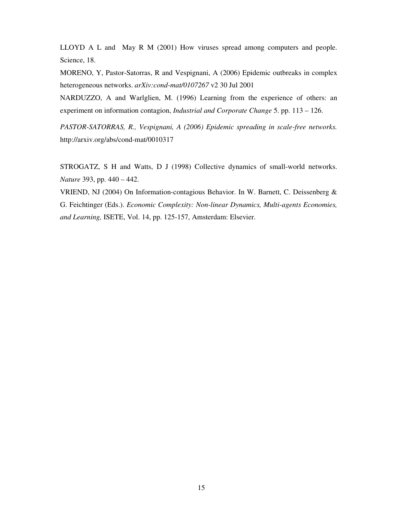LLOYD A L and May R M (2001) How viruses spread among computers and people. Science, 18.

MORENO, Y, Pastor-Satorras, R and Vespignani, A (2006) Epidemic outbreaks in complex heterogeneous networks. *arXiv:cond-mat/0107267* v2 30 Jul 2001

NARDUZZO, A and Warlglien, M. (1996) Learning from the experience of others: an experiment on information contagion, *Industrial and Corporate Change* 5. pp. 113 – 126.

*PASTOR-SATORRAS, R., Vespignani, A (2006) Epidemic spreading in scale-free networks.*  http://arxiv.org/abs/cond-mat/0010317

STROGATZ, S H and Watts, D J (1998) Collective dynamics of small-world networks. *Nature* 393, pp. 440 – 442.

VRIEND, NJ (2004) On Information-contagious Behavior. In W. Barnett, C. Deissenberg & G. Feichtinger (Eds.). *Economic Complexity: Non-linear Dynamics, Multi-agents Economies, and Learning,* ISETE, Vol. 14, pp. 125-157, Amsterdam: Elsevier.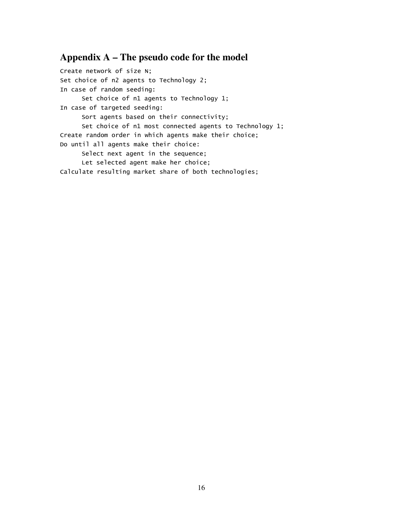## **Appendix A – The pseudo code for the model**

Create network of size N; Set choice of n2 agents to Technology 2; In case of random seeding: Set choice of n1 agents to Technology 1; In case of targeted seeding: Sort agents based on their connectivity; Set choice of n1 most connected agents to Technology 1; Create random order in which agents make their choice; Do until all agents make their choice: Select next agent in the sequence; Let selected agent make her choice; Calculate resulting market share of both technologies;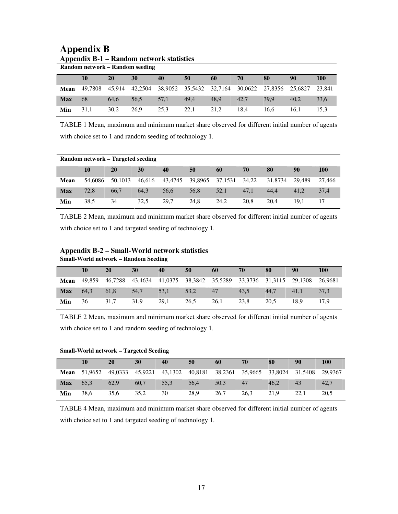|                                 | Appendix B-1 – Random network statistics |           |         |         |         |         |         |                 |      |            |
|---------------------------------|------------------------------------------|-----------|---------|---------|---------|---------|---------|-----------------|------|------------|
| Random network – Random seeding |                                          |           |         |         |         |         |         |                 |      |            |
|                                 | 10                                       | <b>20</b> | 30      | 40      | 50      | 60      | 70      | 80              | 90   | <b>100</b> |
| Mean                            | 49.7808                                  | 45.914    | 42.2504 | 38,9052 | 35,5432 | 32,7164 | 30,0622 | 27.8356 25.6827 |      | 23.841     |
| <b>Max</b>                      | 68                                       | 64.6      | 56.5    | 57.1    | 49.4    | 48.9    | 42.7    | 39.9            | 40.2 | 33.6       |
| Min                             | 31.1                                     | 30.2      | 26.9    | 25.3    | 22.1    | 21.2    | 18.4    | 16.6            | 16.1 | 15.3       |

## **Appendix B Appendix B-1 – Random network statistics**

TABLE 1 Mean, maximum and minimum market share observed for different initial number of agents with choice set to 1 and random seeding of technology 1.

| Random network – Targeted seeding |         |         |        |      |                 |               |      |         |        |            |
|-----------------------------------|---------|---------|--------|------|-----------------|---------------|------|---------|--------|------------|
|                                   | 10      | 20      | 30     | 40   | 50              | 60            | 70   | 80      | 90     | <b>100</b> |
| Mean                              | 54,6086 | 50,1013 | 46.616 |      | 43,4745 39,8965 | 37,1531 34,22 |      | 31,8734 | 29.489 | 27.466     |
| <b>Max</b>                        | 72.8    | 66.7    | 64.3   | 56.6 | 56.8            | 52,1          | 47.1 | 44.4    | 41.2   | 37.4       |
| Min                               | 38,5    | 34      | 32.5   | 29,7 | 24.8            | 24.2          | 20.8 | 20.4    | 19.1   |            |

TABLE 2 Mean, maximum and minimum market share observed for different initial number of agents with choice set to 1 and targeted seeding of technology 1.

| <b>Small-World network – Random Seeding</b> |        |         |         |         |      |                 |         |                 |      |            |
|---------------------------------------------|--------|---------|---------|---------|------|-----------------|---------|-----------------|------|------------|
|                                             | 10     | 20      | 30      | 40      | 50   | 60              | 70      | 80              | 90   | <b>100</b> |
| <b>Mean</b>                                 | 49.859 | 46.7288 | 43.4634 | 41,0375 |      | 38,3842 35,5289 | 33,3736 | 31,3115 29,1308 |      | 26.9681    |
| <b>Max</b>                                  | 64.3   | 61.8    | 54,7    | 53.1    | 53,2 | 47              | 43.5    | 44.7            | 41.1 | 37.3       |
| Min                                         | 36     | 31.7    | 31.9    | 29.1    | 26.5 | 26.1            | 23.8    | 20.5            | 18.9 | 17.9       |

#### **Appendix B-2 – Small-World network statistics**

TABLE 2 Mean, maximum and minimum market share observed for different initial number of agents with choice set to 1 and random seeding of technology 1.

| <b>Small-World network – Targeted Seeding</b> |         |         |         |         |         |         |         |         |         |            |
|-----------------------------------------------|---------|---------|---------|---------|---------|---------|---------|---------|---------|------------|
|                                               | 10      | 20      | 30      | 40      | 50      | 60      | 70      | 80      | 90      | <b>100</b> |
| Mean                                          | 51,9652 | 49.0333 | 45.9221 | 43,1302 | 40,8181 | 38,2361 | 35,9665 | 33,8024 | 31.5408 | 29.9367    |
| <b>Max</b>                                    | 65.3    | 62.9    | 60.7    | 55.3    | 56.4    | 50.3    | 47      | 46.2    | 43      | 42,7       |
| Min                                           | 38.6    | 35.6    | 35.2    | 30      | 28.9    | 26.7    | 26.3    | 21.9    | 22.1    | 20.5       |

TABLE 4 Mean, maximum and minimum market share observed for different initial number of agents with choice set to 1 and targeted seeding of technology 1.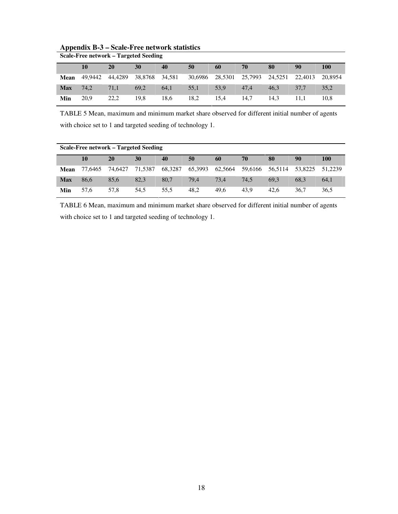| Scale-Free network – Targeted Seeding |         |         |         |        |         |         |                 |      |         |         |
|---------------------------------------|---------|---------|---------|--------|---------|---------|-----------------|------|---------|---------|
|                                       | 10      | 20      | 30      | 40     | 50      | 60      | 70              | 80   | 90      | 100     |
| Mean                                  | 49.9442 | 44,4289 | 38.8768 | 34,581 | 30.6986 | 28.5301 | 25,7993 24,5251 |      | 22,4013 | 20.8954 |
| <b>Max</b>                            | 74.2    | 71.1    | 69.2    | 64.1   | 55.1    | 53.9    | 47.4            | 46.3 | 37.7    | 35,2    |
| Min                                   | 20.9    | 22,2    | 19.8    | 18.6   | 18,2    | 15.4    | 14.7            | 14.3 |         | 10.8    |

#### **Appendix B-3 – Scale-Free network statistics**

TABLE 5 Mean, maximum and minimum market share observed for different initial number of agents with choice set to 1 and targeted seeding of technology 1.

| Scale-Free network – Targeted Seeding |         |         |         |         |         |         |      |                 |         |            |
|---------------------------------------|---------|---------|---------|---------|---------|---------|------|-----------------|---------|------------|
|                                       | 10      | 20      | 30      | 40      | 50      | 60      | 70   | 80              | 90      | <b>100</b> |
| Mean                                  | 77.6465 | 74.6427 | 71.5387 | 68,3287 | 65,3993 | 62.5664 |      | 59,6166 56,5114 | 53.8225 | 51.2239    |
| <b>Max</b>                            | 86.6    | 85.6    | 82.3    | 80.7    | 79.4    | 73.4    | 74.5 | 69.3            | 68.3    | 64,1       |
| Min                                   | 57.6    | 57.8    | 54.5    | 55.5    | 48.2    | 49.6    | 43.9 | 42.6            | 36.7    | 36,5       |

TABLE 6 Mean, maximum and minimum market share observed for different initial number of agents with choice set to 1 and targeted seeding of technology 1.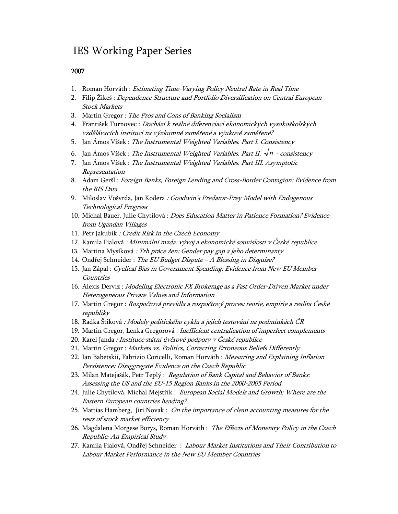## IES Working Paper Series

#### 2007

- 1. Roman Horváth : Estimating Time-Varying Policy Neutral Rate in Real Time
- 2. Filip Žikeš : Dependence Structure and Portfolio Diversification on Central European Stock Markets
- 3. Martin Gregor : The Pros and Cons of Banking Socialism
- 4. František Turnovec : Dochází k reálné diferenciaci ekonomických vysokoškolských vzdělávacích institucí na výzkumně zaměřené a výukově zaměřené?
- 5. Jan Ámos Víšek : The Instrumental Weighted Variables. Part I. Consistency
- 6. Jan Ámos Víšek : The Instrumental Weighted Variables. Part II.  $\sqrt{n}$  consistency
- 7. Jan Ámos Víšek : The Instrumental Weighted Variables. Part III. Asymptotic Representation
- 8. Adam Geršl : Foreign Banks, Foreign Lending and Cross-Border Contagion: Evidence from the BIS Data
- 9. Miloslav Vošvrda, Jan Kodera : Goodwin's Predator-Prey Model with Endogenous Technological Progress
- 10. Michal Bauer, Julie Chytilová : Does Education Matter in Patience Formation? Evidence from Ugandan Villages
- 11. Petr Jakubík : Credit Risk in the Czech Economy
- 12. Kamila Fialová : Minimální mzda: vývoj a ekonomické souvislosti v České republice
- 13. Martina Mysíková : Trh práce žen: Gender pay gap a jeho determinanty
- 14. Ondřej Schneider : The EU Budget Dispute A Blessing in Disguise?
- 15. Jan Zápal : Cyclical Bias in Government Spending: Evidence from New EU Member Countries
- 16. Alexis Derviz : Modeling Electronic FX Brokerage as a Fast Order-Driven Market under Heterogeneous Private Values and Information
- 17. Martin Gregor : Rozpočtová pravidla a rozpočtový proces: teorie, empirie a realita České republiky
- 18. Radka Štiková : Modely politického cyklu a jejich testování na podmínkách ČR
- 19. Martin Gregor, Lenka Gregorová : Inefficient centralization of imperfect complements
- 20. Karel Janda : Instituce státní úvěrové podpory v České republice
- 21. Martin Gregor : Markets vs. Politics, Correcting Erroneous Beliefs Differently
- 22. Ian Babetskii, Fabrizio Coricelli, Roman Horváth : Measuring and Explaining Inflation Persistence: Disaggregate Evidence on the Czech Republic
- 23. Milan Matejašák, Petr Teplý : Regulation of Bank Capital and Behavior of Banks: Assessing the US and the EU-15 Region Banks in the 2000-2005 Period
- 24. Julie Chytilová, Michal Mejstřík : European Social Models and Growth: Where are the Eastern European countries heading?
- 25. Mattias Hamberg, Jiri Novak : On the importance of clean accounting measures for the tests of stock market efficiency
- 26. Magdalena Morgese Borys, Roman Horváth : The Effects of Monetary Policy in the Czech Republic: An Empirical Study
- 27. Kamila Fialová, Ondřej Schneider : Labour Market Institutions and Their Contribution to Labour Market Performance in the New EU Member Countries